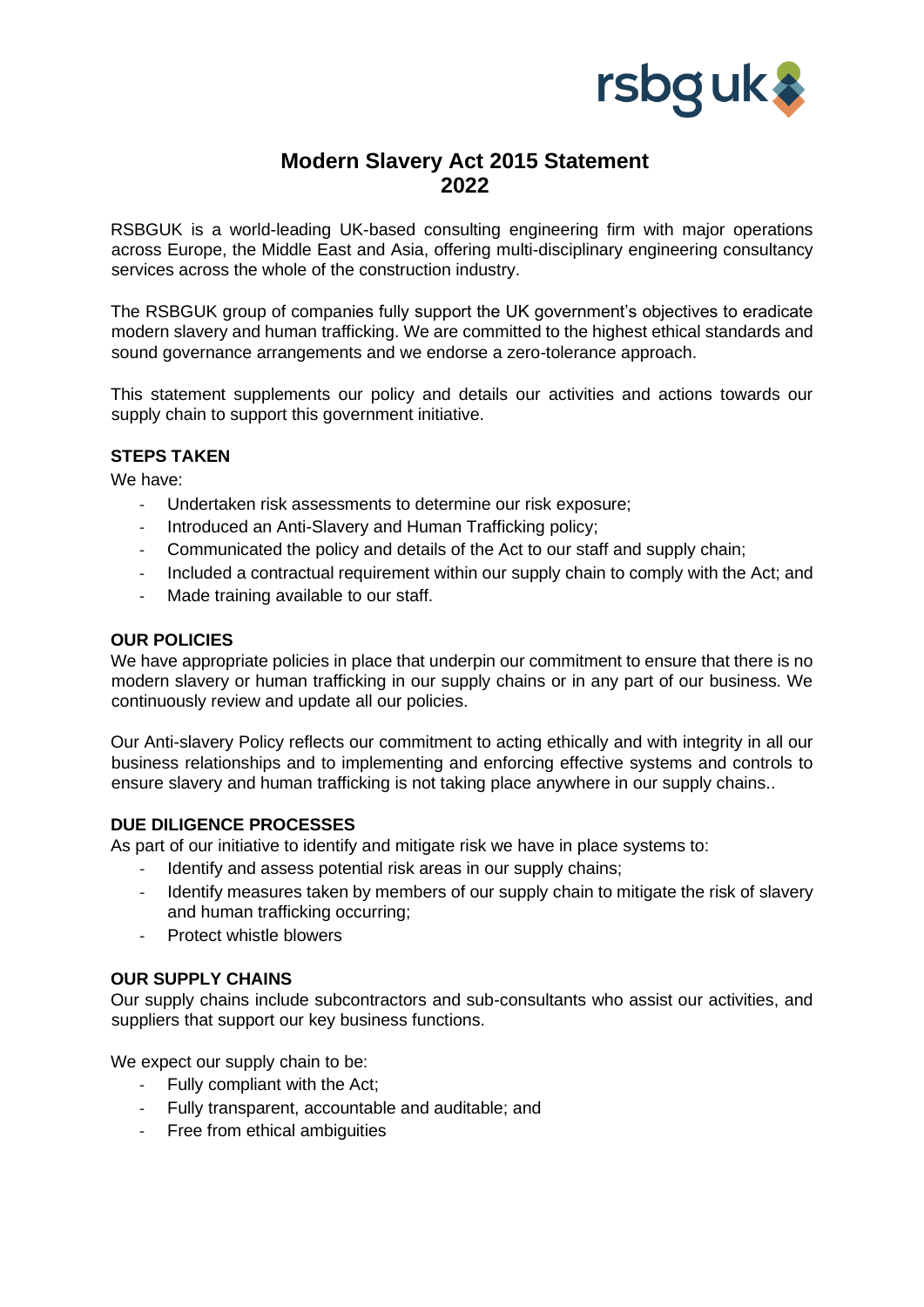

# **Modern Slavery Act 2015 Statement 2022**

RSBGUK is a world-leading UK-based consulting engineering firm with major operations across Europe, the Middle East and Asia, offering multi-disciplinary engineering consultancy services across the whole of the construction industry.

The RSBGUK group of companies fully support the UK government's objectives to eradicate modern slavery and human trafficking. We are committed to the highest ethical standards and sound governance arrangements and we endorse a zero-tolerance approach.

This statement supplements our policy and details our activities and actions towards our supply chain to support this government initiative.

## **STEPS TAKEN**

We have:

- Undertaken risk assessments to determine our risk exposure;
- Introduced an Anti-Slavery and Human Trafficking policy;
- Communicated the policy and details of the Act to our staff and supply chain;
- Included a contractual requirement within our supply chain to comply with the Act; and
- Made training available to our staff.

## **OUR POLICIES**

We have appropriate policies in place that underpin our commitment to ensure that there is no modern slavery or human trafficking in our supply chains or in any part of our business. We continuously review and update all our policies.

Our Anti-slavery Policy reflects our commitment to acting ethically and with integrity in all our business relationships and to implementing and enforcing effective systems and controls to ensure slavery and human trafficking is not taking place anywhere in our supply chains..

## **DUE DILIGENCE PROCESSES**

As part of our initiative to identify and mitigate risk we have in place systems to:

- Identify and assess potential risk areas in our supply chains;
- Identify measures taken by members of our supply chain to mitigate the risk of slavery and human trafficking occurring;
- Protect whistle blowers

## **OUR SUPPLY CHAINS**

Our supply chains include subcontractors and sub-consultants who assist our activities, and suppliers that support our key business functions.

We expect our supply chain to be:

- Fully compliant with the Act;
- Fully transparent, accountable and auditable; and
- Free from ethical ambiguities